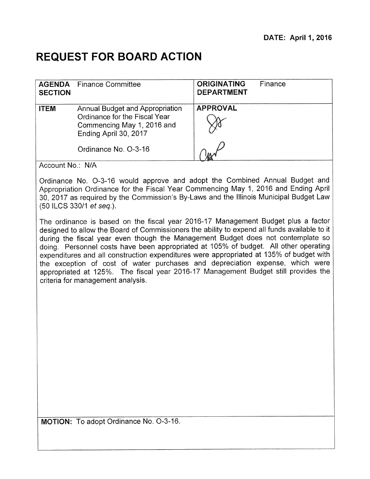## **REQUEST FOR BOARD ACTION**

| <b>AGENDA</b><br><b>SECTION</b>                                                                                                                                                                                                                                                          | <b>Finance Committee</b>                                                                                                                                                                                                                                                                                                                                                                                                                                                                                                                                                                                                                                             | <b>ORIGINATING</b><br><b>DEPARTMENT</b> | Finance |  |
|------------------------------------------------------------------------------------------------------------------------------------------------------------------------------------------------------------------------------------------------------------------------------------------|----------------------------------------------------------------------------------------------------------------------------------------------------------------------------------------------------------------------------------------------------------------------------------------------------------------------------------------------------------------------------------------------------------------------------------------------------------------------------------------------------------------------------------------------------------------------------------------------------------------------------------------------------------------------|-----------------------------------------|---------|--|
| <b>ITEM</b>                                                                                                                                                                                                                                                                              | <b>Annual Budget and Appropriation</b><br>Ordinance for the Fiscal Year<br>Commencing May 1, 2016 and<br>Ending April 30, 2017                                                                                                                                                                                                                                                                                                                                                                                                                                                                                                                                       | <b>APPROVAL</b>                         |         |  |
|                                                                                                                                                                                                                                                                                          | Ordinance No. O-3-16                                                                                                                                                                                                                                                                                                                                                                                                                                                                                                                                                                                                                                                 |                                         |         |  |
| Account No.: N/A                                                                                                                                                                                                                                                                         |                                                                                                                                                                                                                                                                                                                                                                                                                                                                                                                                                                                                                                                                      |                                         |         |  |
| Ordinance No. O-3-16 would approve and adopt the Combined Annual Budget and<br>Appropriation Ordinance for the Fiscal Year Commencing May 1, 2016 and Ending April<br>30, 2017 as required by the Commission's By-Laws and the Illinois Municipal Budget Law<br>(50 ILCS 330/1 et seq.). |                                                                                                                                                                                                                                                                                                                                                                                                                                                                                                                                                                                                                                                                      |                                         |         |  |
|                                                                                                                                                                                                                                                                                          | The ordinance is based on the fiscal year 2016-17 Management Budget plus a factor<br>designed to allow the Board of Commissioners the ability to expend all funds available to it<br>during the fiscal year even though the Management Budget does not contemplate so<br>doing. Personnel costs have been appropriated at 105% of budget. All other operating<br>expenditures and all construction expenditures were appropriated at 135% of budget with<br>the exception of cost of water purchases and depreciation expense, which were<br>appropriated at 125%. The fiscal year 2016-17 Management Budget still provides the<br>criteria for management analysis. |                                         |         |  |
| MOTION: To adopt Ordinance No. O-3-16.                                                                                                                                                                                                                                                   |                                                                                                                                                                                                                                                                                                                                                                                                                                                                                                                                                                                                                                                                      |                                         |         |  |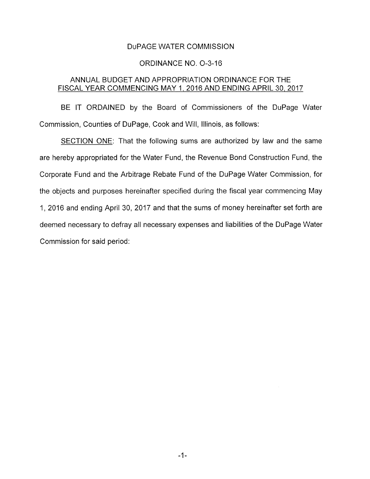#### DUPAGE WATER COMMISSION

### ORDINANCE NO. 0-3-16

# ANNUAL BUDGET AND APPROPRIATION ORDINANCE FOR THE FISCAL YEAR COMMENCING MAY 1, 2016 AND ENDING APRIL 30, 2017

BE IT ORDAINED by the Board of Commissioners of the DuPage Water Commission, Counties of DuPage, Cook and Will, Illinois, as follows:

SECTION ONE: That the following sums are authorized by law and the same are hereby appropriated for the Water Fund, the Revenue Bond Construction Fund, the Corporate Fund and the Arbitrage Rebate Fund of the DuPage Water Commission, for the objects and purposes hereinafter specified during the fiscal year commencing May 1, 2016 and ending April 30, 2017 and that the sums of money hereinafter set forth are deemed necessary to defray all necessary expenses and liabilities of the DuPage Water Commission for said period: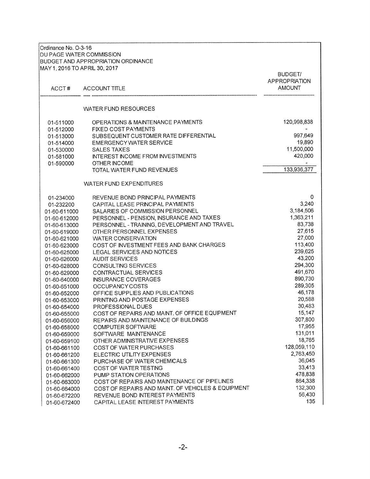| Ordinance No. O-3-16<br><b>DU PAGE WATER COMMISSION</b><br>MAY 1, 2016 TO APRIL 30, 2017 | BUDGET AND APPROPRIATION ORDINANCE                 |                                                         |
|------------------------------------------------------------------------------------------|----------------------------------------------------|---------------------------------------------------------|
| ACCT#                                                                                    | ACCOUNT TITLE                                      | <b>BUDGET/</b><br><b>APPROPRIATION</b><br><b>AMOUNT</b> |
|                                                                                          | WATER FUND RESOURCES                               |                                                         |
| 01-511000                                                                                | OPERATIONS & MAINTENANCE PAYMENTS                  | 120,998,838                                             |
| 01-512000                                                                                | <b>FIXED COST PAYMENTS</b>                         |                                                         |
| 01-513000                                                                                | SUBSEQUENT CUSTOMER RATE DIFFERENTIAL              | 997,649                                                 |
| 01-514000                                                                                | EMERGENCY WATER SERVICE                            | 19,890                                                  |
| 01-530000                                                                                | <b>SALES TAXES</b>                                 | 11,500,000                                              |
| 01-581000                                                                                | <b>INTEREST INCOME FROM INVESTMENTS</b>            | 420,000                                                 |
| 01-590000                                                                                | OTHER INCOME                                       |                                                         |
|                                                                                          | TOTAL WATER FUND REVENUES                          | 133,936,377                                             |
|                                                                                          | <b>WATER FUND EXPENDITURES</b>                     |                                                         |
| 01-234000                                                                                | REVENUE BOND PRINCIPAL PAYMENTS                    | 0                                                       |
| 01-232200                                                                                | CAPITAL LEASE PRINCIPAL PAYMENTS                   | 3,240                                                   |
| 01-60-611000                                                                             | SALARIES OF COMMISSION PERSONNEL                   | 3,184,506                                               |
| 01-60-612000                                                                             | PERSONNEL - PENSION, INSURANCE AND TAXES           | 1,363,211                                               |
| 01-60-613000                                                                             | PERSONNEL - TRAINING, DEVELOPMENT AND TRAVEL       | 83,738                                                  |
| 01-60-619000                                                                             | OTHER PERSONNEL EXPENSES                           | 27,615                                                  |
| 01-60-621000                                                                             | <b>WATER CONSERVATION</b>                          | 27,000                                                  |
| 01-60-623000                                                                             | COST OF INVESTMENT FEES AND BANK CHARGES           | 113,400                                                 |
| 01-60-625000                                                                             | LEGAL SERVICES AND NOTICES                         | 239,625                                                 |
| 01-60-626000                                                                             | <b>AUDIT SERVICES</b>                              | 43,200                                                  |
| 01-60-628000                                                                             | CONSULTING SERVICES                                | 294,300                                                 |
| 01-60-629000                                                                             | CONTRACTUAL SERVICES                               | 491,670                                                 |
| 01-60-640000                                                                             | <b>INSURANCE COVERAGES</b>                         | 890,730                                                 |
| 01-60-651000                                                                             | <b>OCCUPANCY COSTS</b>                             | 289,305                                                 |
| 01-60-652000                                                                             | OFFICE SUPPLIES AND PUBLICATIONS                   | 46,178                                                  |
| 01-60-653000                                                                             | PRINTING AND POSTAGE EXPENSES                      | 20,588                                                  |
| 01-60-654000                                                                             | PROFESSIONAL DUES                                  | 30,483                                                  |
| 01-60-655000                                                                             | COST OF REPAIRS AND MAINT. OF OFFICE EQUIPMENT     | 15,147                                                  |
| 01-60-656000                                                                             | REPAIRS AND MAINTENANCE OF BUILDINGS               | 307,800                                                 |
| 01-60-658000                                                                             | COMPUTER SOFTWARE                                  | 17,955                                                  |
| 01-60-659000                                                                             | SOFTWARE MAINTENANCE                               | 131,011                                                 |
| 01-60-659100                                                                             | OTHER ADMINISTRATIVE EXPENSES                      | 18,765                                                  |
| 01-60-661100                                                                             | COST OF WATER PURCHASES                            | 128,059,110                                             |
| 01-60-661200                                                                             | ELECTRIC UTILITY EXPENSES                          | 2,763,450                                               |
| 01-60-661300                                                                             | PURCHASE OF WATER CHEMICALS                        | 36,045                                                  |
| 01-60-661400                                                                             | COST OF WATER TESTING                              | 33,413                                                  |
| 01-60-662000                                                                             | PUMP STATION OPERATIONS                            | 478,838                                                 |
| 01-60-663000                                                                             | COST OF REPAIRS AND MAINTENANCE OF PIPELINES       | 864,338                                                 |
| 01-60-664000                                                                             | COST OF REPAIRS AND MAINT. OF VEHICLES & EQUIPMENT | 132,300                                                 |
| 01-60-672200                                                                             | REVENUE BOND INTEREST PAYMENTS                     | 56,430                                                  |
| 01-60-672400                                                                             | CAPITAL LEASE INTEREST PAYMENTS                    | 135                                                     |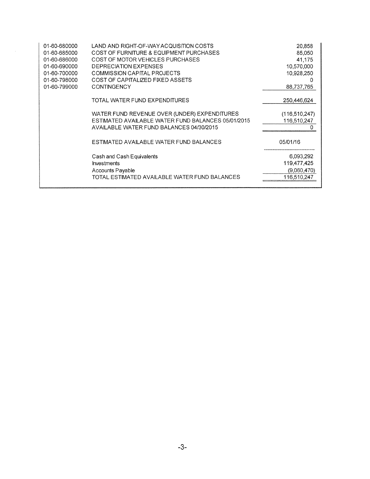| 01-60-680000 | LAND AND RIGHT-OF-WAY ACQUISITION COSTS            | 20.858          |
|--------------|----------------------------------------------------|-----------------|
| 01-60-685000 | COST OF FURNITURE & EQUIPMENT PURCHASES            | 85,050          |
| 01-60-686000 | COST OF MOTOR VEHICLES PURCHASES                   | 41,175          |
| 01-60-690000 | DEPRECIATION EXPENSES                              | 10,570,000      |
| 01-60-700000 | COMMISSION CAPITAL PROJECTS                        | 10,928,250      |
| 01-60-798000 | COST OF CAPITALIZED FIXED ASSETS                   | 0               |
| 01-60-799000 | <b>CONTINGENCY</b>                                 | 88,737,765      |
|              | TOTAL WATER FUND EXPENDITURES                      | 250,446,624     |
|              | WATER FUND REVENUE OVER (UNDER) EXPENDITURES       | (116, 510, 247) |
|              | ESTIMATED AVAILABLE WATER FUND BALANCES 05/01/2015 | 116,510,247     |
|              | AVAILABLE WATER FUND BALANCES 04/30/2015           |                 |
|              | ESTIMATED AVAILABLE WATER FUND BALANCES            | 05/01/16        |
|              | Cash and Cash Equivalents                          | 6,093,292       |
|              | <b>Investments</b>                                 | 119,477,425     |
|              | <b>Accounts Payable</b>                            | (9,060,470)     |
|              | TOTAL ESTIMATED AVAILABLE WATER FUND BALANCES      | 116,510,247     |
|              |                                                    |                 |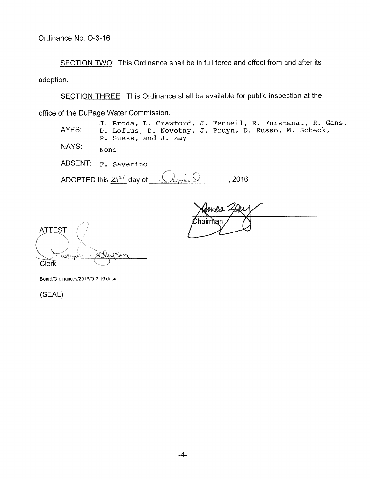SECTION TWO: This Ordinance shall be in full force and effect from and after its adoption.

SECTION THREE: This Ordinance shall be available for public inspection at the office of the DuPage Water Commission.

**J.** Broda, L. Crawford, **J.** Fennell, R. Furstenau, R. Gans, AYES: D. Loftus, D. Novotny, **J.** Pruyn, D. Russo, M. Scheck, P. Suess, and **J.** Zay

NAYS: None

ABSENT: F. Saverino

ADOPTED this  $21^{51}$  day of  $(4)$ 

mes าลเท

**ATTEST:** Clerk

Board/Ordinances/2016/O-3-16.docx

(SEAL)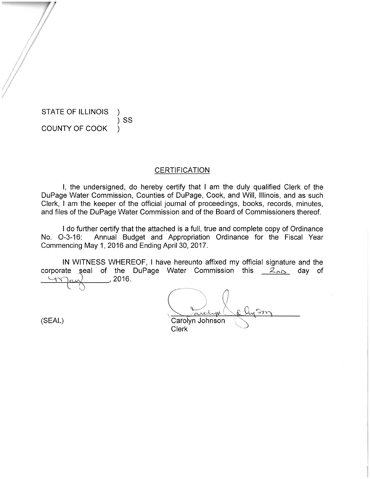STATE OF ILLINOIS COUNTY OF COOK )

)SS

### **CERTIFICATION**

I, the undersigned, do hereby certify that I am the duly qualified Clerk of the DuPage Water Commission, Counties of DuPage, Cook, and Will, Illinois, and as such Clerk, I am the keeper of the official journal of proceedings, books, records, minutes, and files of the DuPage Water Commission and of the Board of Commissioners thereof.

I do further certify that the attached is a full, true and complete copy of Ordinance No. 0-3-16: Annual Budget and Appropriation Ordinance for the Fiscal Year Commencing May 1, 2016 and Ending April 30, 2017.

IN WITNESS WHEREOF, I have hereunto affixed my official signature and the in writiness vinerceur, i have hereunto anixed my official signature and the<br>corporate seal of the DuPage Water Commission this <u>Znb</u> day of  $U$ ay , 2016.

(SEAL) Carolyn Johnson Clerk